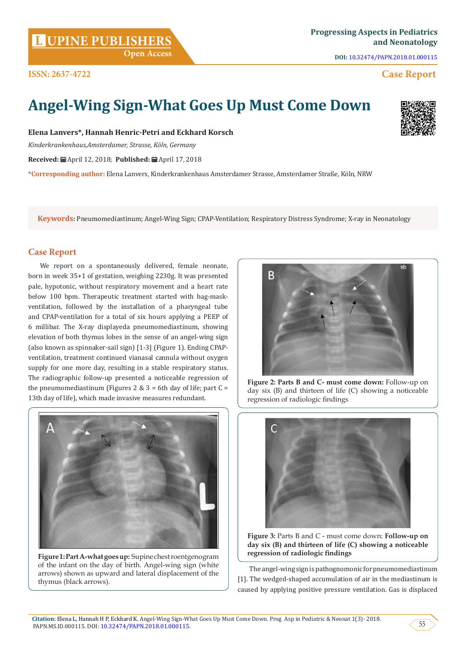**DOI:** [10.32474/PAPN.2018.01.000115](http://dx.doi.org/10.32474/PAPN.2018.01.000115)

# **Case Report**

# **Angel-Wing Sign-What Goes Up Must Come Down**

**Elena Lanvers\*, Hannah Henric-Petri and Eckhard Korsch**

*Kinderkrankenhaus,Amsterdamer, Strasse, Köln, Germany*

**Received:** April 12, 2018; **Published:** April 17, 2018

**\*Corresponding author:** Elena Lanvers, Kinderkrankenhaus Amsterdamer Strasse, Amsterdamer Straße, Köln, NRW

**Keywords:** Pneumomediastinum; Angel-Wing Sign; CPAP-Ventilation; Respiratory Distress Syndrome; X-ray in Neonatology

# **Case Report**

**ISSN: 2637-4722**

We report on a spontaneously delivered, female neonate, born in week 35+1 of gestation, weighing 2230g. It was presented pale, hypotonic, without respiratory movement and a heart rate below 100 bpm. Therapeutic treatment started with bag-maskventilation, followed by the installation of a pharyngeal tube and CPAP-ventilation for a total of six hours applying a PEEP of 6 millibar. The X-ray displayeda pneumomediastinum, showing elevation of both thymus lobes in the sense of an angel-wing sign (also known as spinnaker-sail sign) [1-3] (Figure 1). Ending CPAPventilation, treatment continued vianasal cannula without oxygen supply for one more day, resulting in a stable respiratory status. The radiographic follow-up presented a noticeable regression of the pneumomediastinum (Figures 2 & 3 = 6th day of life; part  $C =$ 13th day of life), which made invasive measures redundant.

**Figure 1: Part A-what goes up:** Supine chest roentgenogram of the infant on the day of birth. Angel-wing sign (white arrows) shown as upward and lateral displacement of the thymus (black arrows).

regression of radiologic findings

**Figure 3:** Parts B and C - must come down: **Follow-up on day six (B) and thirteen of life (C) showing a noticeable regression of radiologic findings**

The angel-wing sign is pathognomonic for pneumomediastinum [1]. The wedged-shaped accumulation of air in the mediastinum is caused by applying positive pressure ventilation. Gas is displaced